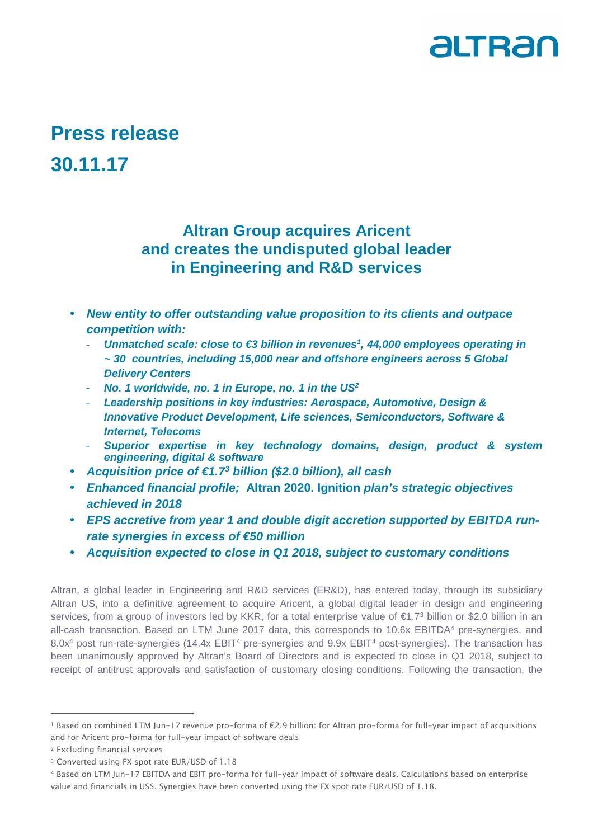

# **Press release 30.11.17**

# **Altran Group acquires Aricent and creates the undisputed global leader in Engineering and R&D services**

- **New entity to offer outstanding value proposition to its clients and outpace competition with:** 
	- **Unmatched scale: close to €3 billion in revenues<sup>†</sup>, 44,000 employees operating in ~ 30 countries, including 15,000 near and offshore engineers across 5 Global Delivery Centers**
	- **No. 1 worldwide, no. 1 in Europe, no. 1 in the US<sup>2</sup>**
	- Leadership positions in key industries: Aerospace, Automotive, Design & **Innovative Product Development, Life sciences, Semiconductors, Software & Internet, Telecoms**
	- **Superior expertise in key technology domains, design, product & system engineering, digital & software**
- **Acquisition price of €1.7<sup>3</sup> billion (\$2.0 billion), all cash**
- **Enhanced financial profile; Altran 2020. Ignition plan's strategic objectives achieved in 2018**
- **EPS accretive from year 1 and double digit accretion supported by EBITDA runrate synergies in excess of €50 million**
- **Acquisition expected to close in Q1 2018, subject to customary conditions**

Altran, a global leader in Engineering and R&D services (ER&D), has entered today, through its subsidiary Altran US, into a definitive agreement to acquire Aricent, a global digital leader in design and engineering services, from a group of investors led by KKR, for a total enterprise value of €1.7<sup>3</sup> billion or \$2.0 billion in an all-cash transaction. Based on LTM June 2017 data, this corresponds to 10.6x EBITDA<sup>4</sup> pre-synergies, and 8.0x<sup>4</sup> post run-rate-synergies (14.4x EBIT<sup>4</sup> pre-synergies and 9.9x EBIT<sup>4</sup> post-synergies). The transaction has been unanimously approved by Altran's Board of Directors and is expected to close in Q1 2018, subject to receipt of antitrust approvals and satisfaction of customary closing conditions. Following the transaction, the

<sup>1</sup> Based on combined LTM Jun-17 revenue pro-forma of €2.9 billion: for Altran pro-forma for full-year impact of acquisitions and for Aricent pro-forma for full-year impact of software deals

<sup>2</sup> Excluding financial services

<sup>3</sup> Converted using FX spot rate EUR/USD of 1.18

<sup>4</sup> Based on LTM Jun-17 EBITDA and EBIT pro-forma for full-year impact of software deals. Calculations based on enterprise value and financials in US\$. Synergies have been converted using the FX spot rate EUR/USD of 1.18.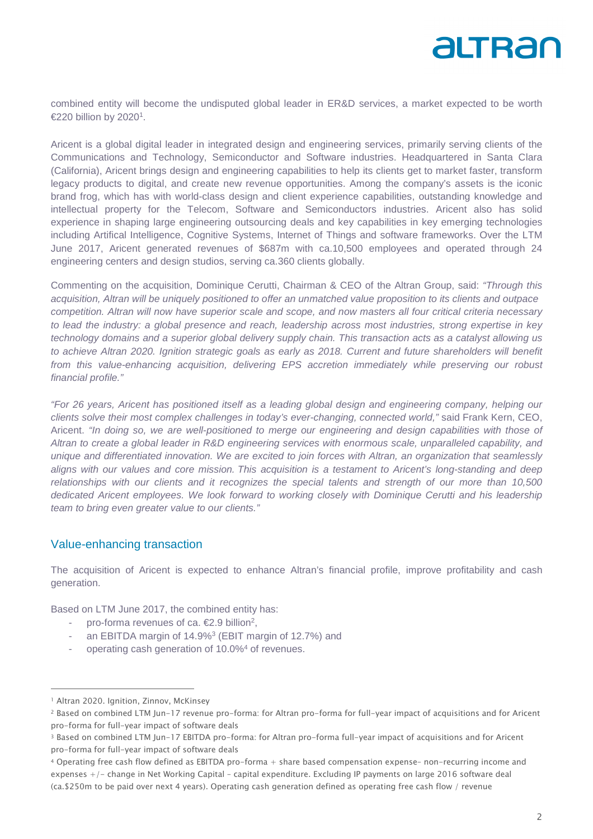

combined entity will become the undisputed global leader in ER&D services, a market expected to be worth €220 billion by 2020<sup>1</sup>.

Aricent is a global digital leader in integrated design and engineering services, primarily serving clients of the Communications and Technology, Semiconductor and Software industries. Headquartered in Santa Clara (California), Aricent brings design and engineering capabilities to help its clients get to market faster, transform legacy products to digital, and create new revenue opportunities. Among the company's assets is the iconic brand frog, which has with world-class design and client experience capabilities, outstanding knowledge and intellectual property for the Telecom, Software and Semiconductors industries. Aricent also has solid experience in shaping large engineering outsourcing deals and key capabilities in key emerging technologies including Artifical Intelligence, Cognitive Systems, Internet of Things and software frameworks. Over the LTM June 2017, Aricent generated revenues of \$687m with ca.10,500 employees and operated through 24 engineering centers and design studios, serving ca.360 clients globally.

Commenting on the acquisition, Dominique Cerutti, Chairman & CEO of the Altran Group, said: "Through this acquisition, Altran will be uniquely positioned to offer an unmatched value proposition to its clients and outpace competition. Altran will now have superior scale and scope, and now masters all four critical criteria necessary to lead the industry: a global presence and reach, leadership across most industries, strong expertise in key technology domains and a superior global delivery supply chain. This transaction acts as a catalyst allowing us to achieve Altran 2020. Ignition strategic goals as early as 2018. Current and future shareholders will benefit from this value-enhancing acquisition, delivering EPS accretion immediately while preserving our robust financial profile."

"For 26 years, Aricent has positioned itself as a leading global design and engineering company, helping our clients solve their most complex challenges in today's ever-changing, connected world," said Frank Kern, CEO, Aricent. "In doing so, we are well-positioned to merge our engineering and design capabilities with those of Altran to create a global leader in R&D engineering services with enormous scale, unparalleled capability, and unique and differentiated innovation. We are excited to join forces with Altran, an organization that seamlessly aligns with our values and core mission. This acquisition is a testament to Aricent's long-standing and deep relationships with our clients and it recognizes the special talents and strength of our more than 10,500 dedicated Aricent employees. We look forward to working closely with Dominique Cerutti and his leadership team to bring even greater value to our clients."

#### Value-enhancing transaction

The acquisition of Aricent is expected to enhance Altran's financial profile, improve profitability and cash generation.

Based on LTM June 2017, the combined entity has:

- pro-forma revenues of ca.  $€2.9$  billion<sup>2</sup>,
- an EBITDA margin of 14.9%<sup>3</sup> (EBIT margin of 12.7%) and
- operating cash generation of 10.0%<sup>4</sup> of revenues.

<sup>&</sup>lt;sup>1</sup> Altran 2020. Ignition, Zinnov, McKinsey

<sup>2</sup> Based on combined LTM Jun-17 revenue pro-forma: for Altran pro-forma for full-year impact of acquisitions and for Aricent pro-forma for full-year impact of software deals

<sup>3</sup> Based on combined LTM Jun-17 EBITDA pro-forma: for Altran pro-forma full-year impact of acquisitions and for Aricent pro-forma for full-year impact of software deals

<sup>4</sup> Operating free cash flow defined as EBITDA pro-forma + share based compensation expense– non-recurring income and expenses +/- change in Net Working Capital – capital expenditure. Excluding IP payments on large 2016 software deal (ca.\$250m to be paid over next 4 years). Operating cash generation defined as operating free cash flow / revenue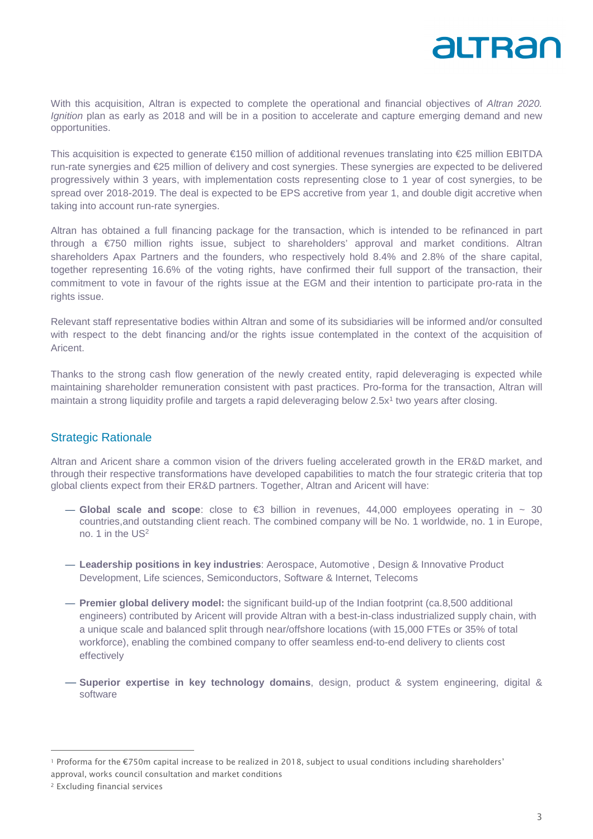With this acquisition, Altran is expected to complete the operational and financial objectives of Altran 2020. Ignition plan as early as 2018 and will be in a position to accelerate and capture emerging demand and new opportunities.

This acquisition is expected to generate €150 million of additional revenues translating into €25 million EBITDA run-rate synergies and €25 million of delivery and cost synergies. These synergies are expected to be delivered progressively within 3 years, with implementation costs representing close to 1 year of cost synergies, to be spread over 2018-2019. The deal is expected to be EPS accretive from year 1, and double digit accretive when taking into account run-rate synergies.

Altran has obtained a full financing package for the transaction, which is intended to be refinanced in part through a €750 million rights issue, subject to shareholders' approval and market conditions. Altran shareholders Apax Partners and the founders, who respectively hold 8.4% and 2.8% of the share capital, together representing 16.6% of the voting rights, have confirmed their full support of the transaction, their commitment to vote in favour of the rights issue at the EGM and their intention to participate pro-rata in the rights issue.

Relevant staff representative bodies within Altran and some of its subsidiaries will be informed and/or consulted with respect to the debt financing and/or the rights issue contemplated in the context of the acquisition of Aricent.

Thanks to the strong cash flow generation of the newly created entity, rapid deleveraging is expected while maintaining shareholder remuneration consistent with past practices. Pro-forma for the transaction, Altran will maintain a strong liquidity profile and targets a rapid deleveraging below 2.5x<sup>1</sup> two years after closing.

#### Strategic Rationale

Altran and Aricent share a common vision of the drivers fueling accelerated growth in the ER&D market, and through their respective transformations have developed capabilities to match the four strategic criteria that top global clients expect from their ER&D partners. Together, Altran and Aricent will have:

- $-$  Global scale and scope: close to €3 billion in revenues,  $44,000$  employees operating in  $\sim$  30 countries,and outstanding client reach. The combined company will be No. 1 worldwide, no. 1 in Europe, no. 1 in the US<sup>2</sup>
- **Leadership positions in key industries**: Aerospace, Automotive , Design & Innovative Product Development, Life sciences, Semiconductors, Software & Internet, Telecoms
- **Premier global delivery model:** the significant build-up of the Indian footprint (ca.8,500 additional engineers) contributed by Aricent will provide Altran with a best-in-class industrialized supply chain, with a unique scale and balanced split through near/offshore locations (with 15,000 FTEs or 35% of total workforce), enabling the combined company to offer seamless end-to-end delivery to clients cost effectively
- **Superior expertise in key technology domains**, design, product & system engineering, digital & software

 $\overline{a}$ 

altran

<sup>1</sup> Proforma for the €750m capital increase to be realized in 2018, subject to usual conditions including shareholders' approval, works council consultation and market conditions

<sup>2</sup> Excluding financial services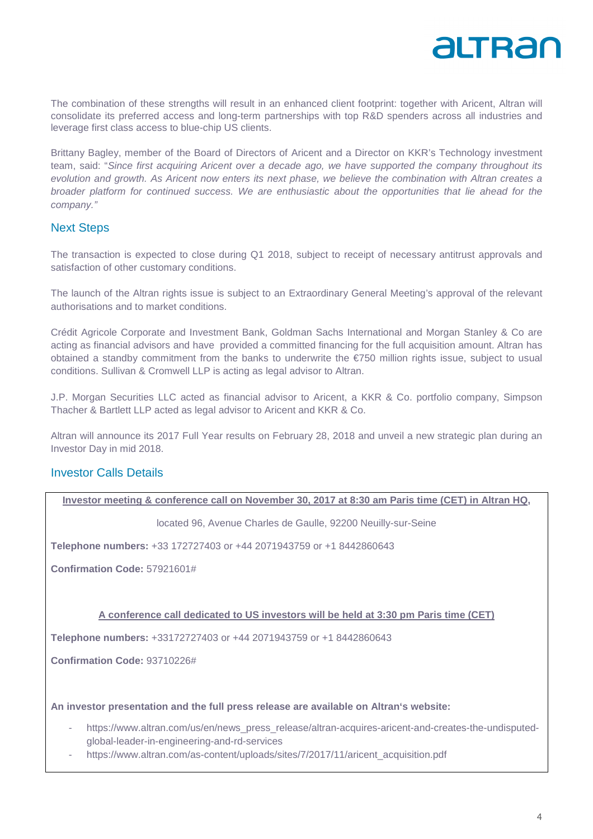

The combination of these strengths will result in an enhanced client footprint: together with Aricent, Altran will consolidate its preferred access and long-term partnerships with top R&D spenders across all industries and leverage first class access to blue-chip US clients.

Brittany Bagley, member of the Board of Directors of Aricent and a Director on KKR's Technology investment team, said: "Since first acquiring Aricent over a decade ago, we have supported the company throughout its evolution and growth. As Aricent now enters its next phase, we believe the combination with Altran creates a broader platform for continued success. We are enthusiastic about the opportunities that lie ahead for the company."

#### Next Steps

The transaction is expected to close during Q1 2018, subject to receipt of necessary antitrust approvals and satisfaction of other customary conditions.

The launch of the Altran rights issue is subject to an Extraordinary General Meeting's approval of the relevant authorisations and to market conditions.

Crédit Agricole Corporate and Investment Bank, Goldman Sachs International and Morgan Stanley & Co are acting as financial advisors and have provided a committed financing for the full acquisition amount. Altran has obtained a standby commitment from the banks to underwrite the  $E$ 750 million rights issue, subject to usual conditions. Sullivan & Cromwell LLP is acting as legal advisor to Altran.

J.P. Morgan Securities LLC acted as financial advisor to Aricent, a KKR & Co. portfolio company, Simpson Thacher & Bartlett LLP acted as legal advisor to Aricent and KKR & Co.

Altran will announce its 2017 Full Year results on February 28, 2018 and unveil a new strategic plan during an Investor Day in mid 2018.

#### Investor Calls Details

**Investor meeting & conference call on November 30, 2017 at 8:30 am Paris time (CET) in Altran HQ,** 

located 96, Avenue Charles de Gaulle, 92200 Neuilly-sur-Seine

**Telephone numbers:** +33 172727403 or +44 2071943759 or +1 8442860643

**Confirmation Code:** 57921601#

#### **A conference call dedicated to US investors will be held at 3:30 pm Paris time (CET)**

**Telephone numbers:** +33172727403 or +44 2071943759 or +1 8442860643

**Confirmation Code:** 93710226#

**An investor presentation and the full press release are available on Altran's website:** 

- https://www.altran.com/us/en/news\_press\_release/altran-acquires-aricent-and-creates-the-undisputedglobal-leader-in-engineering-and-rd-services
- https://www.altran.com/as-content/uploads/sites/7/2017/11/aricent\_acquisition.pdf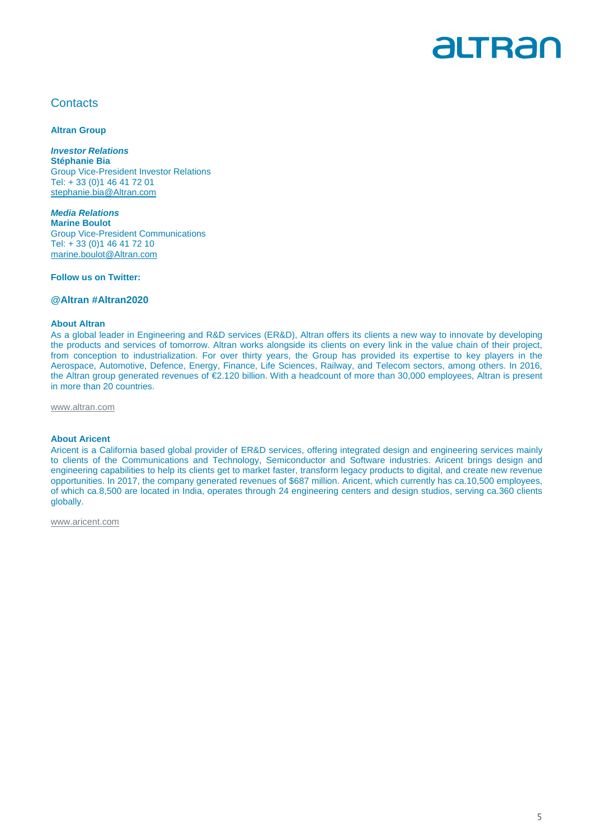

### **Contacts**

**Altran Group** 

**Investor Relations Stéphanie Bia**  Group Vice-President Investor Relations Tel: + 33 (0)1 46 41 72 01 stephanie.bia@Altran.com

**Media Relations Marine Boulot**  Group Vice-President Communications Tel: + 33 (0)1 46 41 72 10 marine.boulot@Altran.com

**Follow us on Twitter:** 

#### **@Altran #Altran2020**

#### **About Altran**

As a global leader in Engineering and R&D services (ER&D), Altran offers its clients a new way to innovate by developing the products and services of tomorrow. Altran works alongside its clients on every link in the value chain of their project, from conception to industrialization. For over thirty years, the Group has provided its expertise to key players in the Aerospace, Automotive, Defence, Energy, Finance, Life Sciences, Railway, and Telecom sectors, among others. In 2016, the Altran group generated revenues of €2.120 billion. With a headcount of more than 30,000 employees, Altran is present in more than 20 countries.

www.altran.com

#### **About Aricent**

Aricent is a California based global provider of ER&D services, offering integrated design and engineering services mainly to clients of the Communications and Technology, Semiconductor and Software industries. Aricent brings design and engineering capabilities to help its clients get to market faster, transform legacy products to digital, and create new revenue opportunities. In 2017, the company generated revenues of \$687 million. Aricent, which currently has ca.10,500 employees, of which ca.8,500 are located in India, operates through 24 engineering centers and design studios, serving ca.360 clients globally.

www.aricent.com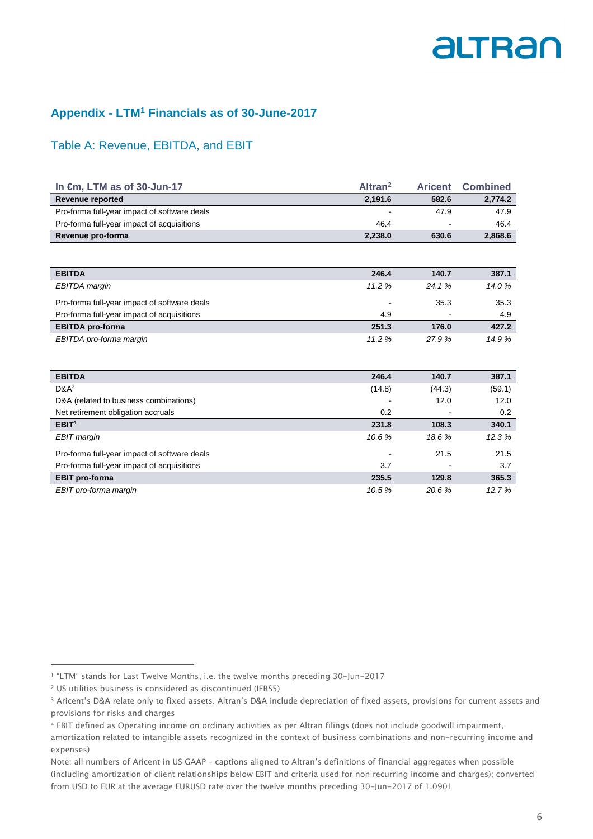### **Appendix - LTM<sup>1</sup> Financials as of 30-June-2017**

### Table A: Revenue, EBITDA, and EBIT

| In $\epsilon$ m, LTM as of 30-Jun-17         | Altran <sup>2</sup> | Aricent | <b>Combined</b> |
|----------------------------------------------|---------------------|---------|-----------------|
| Revenue reported                             | 2.191.6             | 582.6   | 2,774.2         |
| Pro-forma full-year impact of software deals | $\blacksquare$      | 47.9    | 47.9            |
| Pro-forma full-year impact of acquisitions   | 46.4                | $\sim$  | 46.4            |
| <b>Revenue pro-forma</b>                     | 2,238.0             | 630.6   | 2,868.6         |

| <b>EBITDA</b>                                | 246.4                    | 140.7          | 387.1 |
|----------------------------------------------|--------------------------|----------------|-------|
| EBITDA margin                                | 11.2%                    | 24.1%          | 14.0% |
| Pro-forma full-year impact of software deals | $\overline{\phantom{0}}$ | 35.3           | 35.3  |
| Pro-forma full-year impact of acquisitions   | 4.9                      | $\blacksquare$ | 4.9   |
| <b>EBITDA</b> pro-forma                      | 251.3                    | 176.0          | 427.2 |
| EBITDA pro-forma margin                      | 11.2%                    | 27.9 %         | 14.9% |

| <b>EBITDA</b>                                | 246.4  | 140.7  | 387.1  |
|----------------------------------------------|--------|--------|--------|
| $D&A^3$                                      | (14.8) | (44.3) | (59.1) |
| D&A (related to business combinations)       | -      | 12.0   | 12.0   |
| Net retirement obligation accruals           | 0.2    |        | 0.2    |
| EBIT <sup>4</sup>                            | 231.8  | 108.3  | 340.1  |
| EBIT margin                                  | 10.6%  | 18.6%  | 12.3%  |
| Pro-forma full-year impact of software deals | ٠      | 21.5   | 21.5   |
| Pro-forma full-year impact of acquisitions   | 3.7    |        | 3.7    |
| <b>EBIT</b> pro-forma                        | 235.5  | 129.8  | 365.3  |
| EBIT pro-forma margin                        | 10.5%  | 20.6%  | 12.7%  |

<sup>1</sup> "LTM" stands for Last Twelve Months, i.e. the twelve months preceding 30-Jun-2017

<sup>2</sup> US utilities business is considered as discontinued (IFRS5)

<sup>3</sup> Aricent's D&A relate only to fixed assets. Altran's D&A include depreciation of fixed assets, provisions for current assets and provisions for risks and charges

<sup>4</sup> EBIT defined as Operating income on ordinary activities as per Altran filings (does not include goodwill impairment,

amortization related to intangible assets recognized in the context of business combinations and non-recurring income and expenses)

Note: all numbers of Aricent in US GAAP – captions aligned to Altran's definitions of financial aggregates when possible (including amortization of client relationships below EBIT and criteria used for non recurring income and charges); converted from USD to EUR at the average EURUSD rate over the twelve months preceding 30-Jun-2017 of 1.0901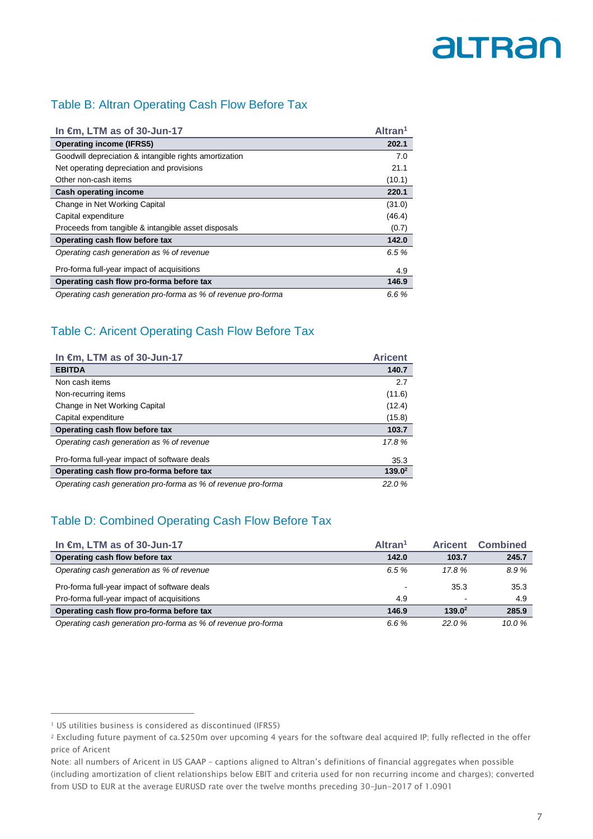## Table B: Altran Operating Cash Flow Before Tax

| In $\epsilon$ m, LTM as of 30-Jun-17                          | Altran <sup>1</sup> |
|---------------------------------------------------------------|---------------------|
| <b>Operating income (IFRS5)</b>                               | 202.1               |
| Goodwill depreciation & intangible rights amortization        | 7.0                 |
| Net operating depreciation and provisions                     | 21.1                |
| Other non-cash items                                          | (10.1)              |
| <b>Cash operating income</b>                                  | 220.1               |
| Change in Net Working Capital                                 | (31.0)              |
| Capital expenditure                                           | (46.4)              |
| Proceeds from tangible & intangible asset disposals           | (0.7)               |
| Operating cash flow before tax                                | 142.0               |
| Operating cash generation as % of revenue                     | 6.5%                |
| Pro-forma full-year impact of acquisitions                    | 4.9                 |
| Operating cash flow pro-forma before tax                      | 146.9               |
| Operating cash generation pro-forma as % of revenue pro-forma | 6.6%                |

# Table C: Aricent Operating Cash Flow Before Tax

| In €m, LTM as of 30-Jun-17                                    | <b>Aricent</b> |
|---------------------------------------------------------------|----------------|
| <b>EBITDA</b>                                                 | 140.7          |
| Non cash items                                                | 2.7            |
| Non-recurring items                                           | (11.6)         |
| Change in Net Working Capital                                 | (12.4)         |
| Capital expenditure                                           | (15.8)         |
| Operating cash flow before tax                                | 103.7          |
| Operating cash generation as % of revenue                     | 17.8%          |
| Pro-forma full-year impact of software deals                  | 35.3           |
| Operating cash flow pro-forma before tax                      | $139.0^2$      |
| Operating cash generation pro-forma as % of revenue pro-forma | 22.0%          |

# Table D: Combined Operating Cash Flow Before Tax

| In $\epsilon$ m, LTM as of 30-Jun-17                          | Altran <sup>1</sup>      | <b>Aricent</b>           | <b>Combined</b> |
|---------------------------------------------------------------|--------------------------|--------------------------|-----------------|
| Operating cash flow before tax                                | 142.0                    | 103.7                    | 245.7           |
| Operating cash generation as % of revenue                     | 6.5%                     | 17.8%                    | 8.9%            |
| Pro-forma full-year impact of software deals                  | $\overline{\phantom{0}}$ | 35.3                     | 35.3            |
| Pro-forma full-year impact of acquisitions                    | 4.9                      | $\overline{\phantom{0}}$ | 4.9             |
| Operating cash flow pro-forma before tax                      | 146.9                    | $139.0^2$                | 285.9           |
| Operating cash generation pro-forma as % of revenue pro-forma | 6.6%                     | 22.0%                    | 10.0%           |

<sup>&</sup>lt;sup>1</sup> US utilities business is considered as discontinued (IFRS5)

<sup>2</sup> Excluding future payment of ca.\$250m over upcoming 4 years for the software deal acquired IP; fully reflected in the offer price of Aricent

Note: all numbers of Aricent in US GAAP – captions aligned to Altran's definitions of financial aggregates when possible (including amortization of client relationships below EBIT and criteria used for non recurring income and charges); converted from USD to EUR at the average EURUSD rate over the twelve months preceding 30-Jun-2017 of 1.0901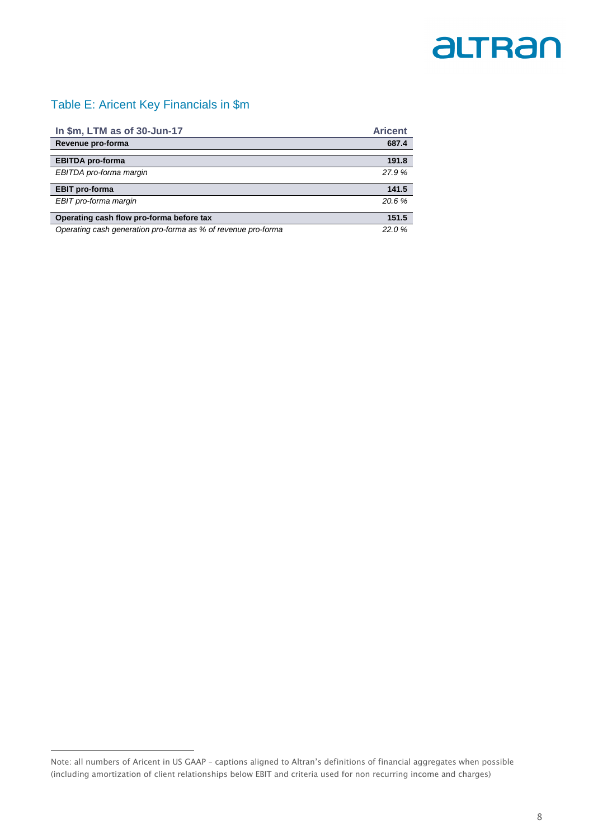## Table E: Aricent Key Financials in \$m<sup>1</sup>

| In \$m, LTM as of 30-Jun-17                                   | <b>Aricent</b> |
|---------------------------------------------------------------|----------------|
| Revenue pro-forma                                             | 687.4          |
|                                                               |                |
| <b>EBITDA</b> pro-forma                                       | 191.8          |
| EBITDA pro-forma margin                                       | 27.9%          |
| <b>EBIT</b> pro-forma                                         | 141.5          |
| EBIT pro-forma margin                                         | 20.6%          |
| Operating cash flow pro-forma before tax                      | 151.5          |
| Operating cash generation pro-forma as % of revenue pro-forma | 22.0%          |

Note: all numbers of Aricent in US GAAP – captions aligned to Altran's definitions of financial aggregates when possible (including amortization of client relationships below EBIT and criteria used for non recurring income and charges)